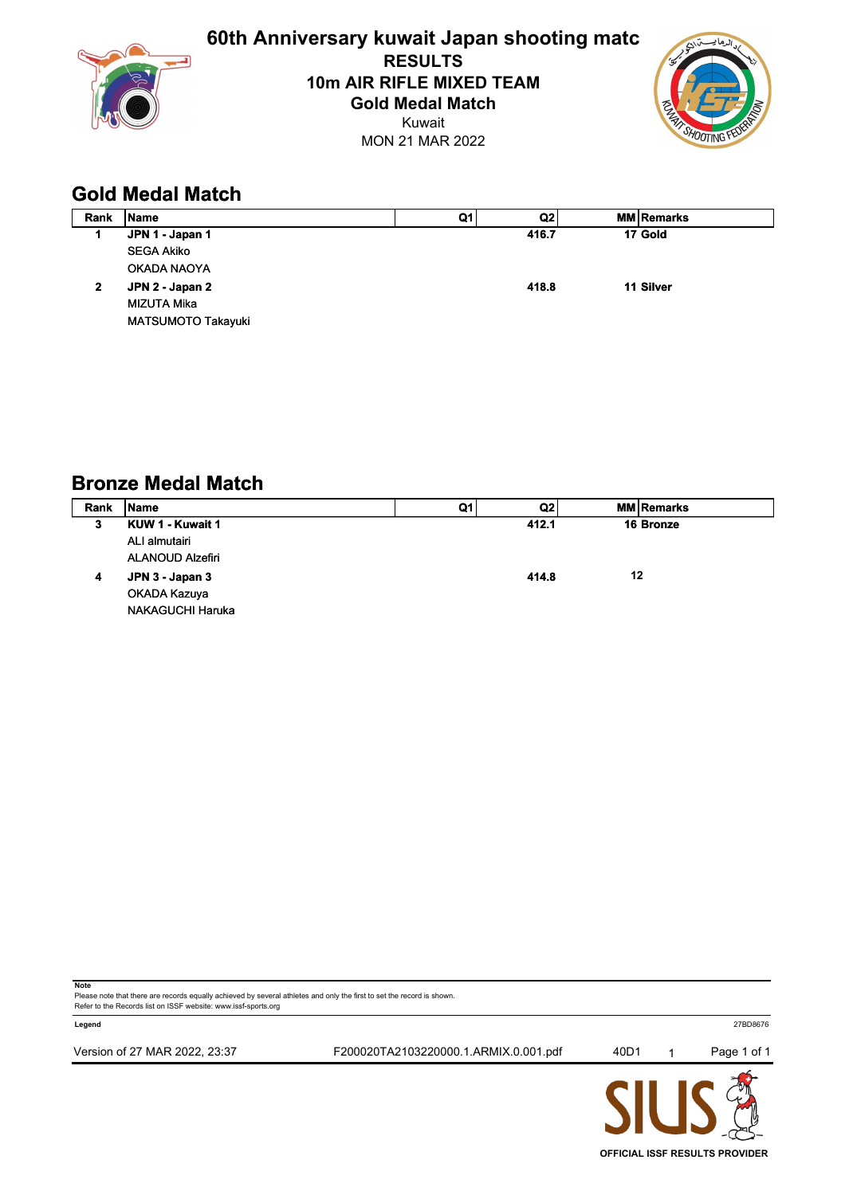

**60th Anniversary kuwait Japan shooting matc RESULTS 10m AIR RIFLE MIXED TEAM Gold Medal Match**

Kuwait MON 21 MAR 2022



## **Gold Medal Match**

| Rank | Name               | Q1 | Q2    | <b>MM Remarks</b> |
|------|--------------------|----|-------|-------------------|
| 1    | JPN 1 - Japan 1    |    | 416.7 | 17 Gold           |
|      | <b>SEGA Akiko</b>  |    |       |                   |
|      | OKADA NAOYA        |    |       |                   |
| 2    | JPN 2 - Japan 2    |    | 418.8 | 11 Silver         |
|      | MIZUTA Mika        |    |       |                   |
|      | MATSUMOTO Takayuki |    |       |                   |

## **Bronze Medal Match**

| Rank | <b>IName</b>            | Q1 | Q2    |    | <b>MM Remarks</b> |
|------|-------------------------|----|-------|----|-------------------|
| 3    | KUW 1 - Kuwait 1        |    | 412.1 |    | 16 Bronze         |
|      | ALI almutairi           |    |       |    |                   |
|      | <b>ALANOUD Alzefiri</b> |    |       |    |                   |
| 4    | JPN 3 - Japan 3         |    | 414.8 | 12 |                   |
|      | OKADA Kazuya            |    |       |    |                   |
|      | <b>NAKAGUCHI Haruka</b> |    |       |    |                   |

**Note**

Please note that there are records equally achieved by several athletes and only the first to set the record is shown. Refer to the Records list on ISSF website: www.issf-sports.org



**OFFICIAL ISSF RESULTS PROVIDER**